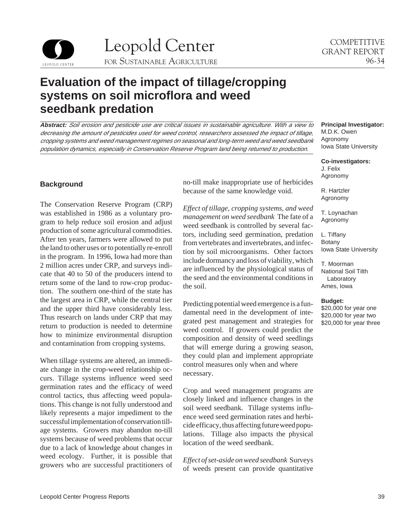

# **Evaluation of the impact of tillage/cropping systems on soil microflora and weed seedbank predation**

**Abstract:** Soil erosion and pesticide use are critical issues in sustainable agriculture. With a view to decreasing the amount of pesticides used for weed control, researchers assessed the impact of tillage, cropping systems and weed management regimes on seasonal and long-term weed and weed seedbank population dynamics, especially in Conservation Reserve Program land being returned to production.

The Conservation Reserve Program (CRP)<br>was established in 1986 as a voluntary pro-<br>management on weed seedbank The fate of a<br>gram to help reduce soil erosion and adjust<br>weed seedbank is controlled by several fac-<br>productio the largest area in CRP, while the central tier<br>and the upper third have considerably less.<br>Thus research on lands under CRP that may<br>return to production is needed to determine<br>how to minimize environmental disruption<br>and

When tillage systems are altered, an immediated when and implement appropriate ate change in the crop-weed relationship occurs. Tillage systems influence weed seed germination rates and the efficacy of weed<br>control tactics, thus affecting weed popula-<br>tions. This change is not fully understood and<br>likely represents a major impediment to the<br>successful implementation of conservation t weed ecology. Further, it is possible that *Effect of set-aside on weed seedbank* Surveys growers who are successful practitioners of weeds present can provide quantitative

**Background** no-till make inappropriate use of herbicides because of the same knowledge void.

#### **Principal Investigator:**  M.D.K. Owen

Agronomy Iowa State University

**Co-investigators:** 

J. Felix Agronomy

R. Hartzler Agronomy

T. Loynachan Agronomy

L. Tiffany Botany Iowa State University

T. Moorman National Soil Tilth Laboratory Ames, Iowa

#### **Budget:**

\$20,000 for year one \$20,000 for year two \$20,000 for year three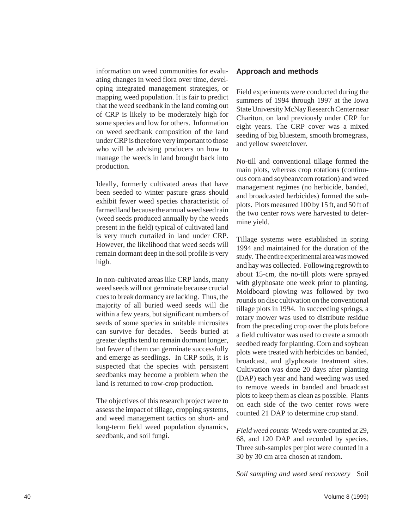information on weed communities for evaluating changes in weed flora over time, developing integrated management strategies, or mapping weed population. It is fair to predict that the weed seedbank in the land coming out of CRP is likely to be moderately high for some species and low for others. Information on weed seedbank composition of the land under CRP is therefore very important to those who will be advising producers on how to manage the weeds in land brought back into production.

Ideally, formerly cultivated areas that have been seeded to winter pasture grass should exhibit fewer weed species characteristic of farmed land because the annual weed seed rain (weed seeds produced annually by the weeds present in the field) typical of cultivated land is very much curtailed in land under CRP. However, the likelihood that weed seeds will remain dormant deep in the soil profile is very high.

In non-cultivated areas like CRP lands, many weed seeds will not germinate because crucial cues to break dormancy are lacking. Thus, the majority of all buried weed seeds will die within a few years, but significant numbers of seeds of some species in suitable microsites can survive for decades. Seeds buried at greater depths tend to remain dormant longer, but fewer of them can germinate successfully and emerge as seedlings. In CRP soils, it is suspected that the species with persistent seedbanks may become a problem when the land is returned to row-crop production.

The objectives of this research project were to assess the impact of tillage, cropping systems, and weed management tactics on short- and long-term field weed population dynamics, seedbank, and soil fungi.

#### **Approach and methods**

Field experiments were conducted during the summers of 1994 through 1997 at the Iowa State University McNay Research Center near Chariton, on land previously under CRP for eight years. The CRP cover was a mixed seeding of big bluestem, smooth bromegrass, and yellow sweetclover.

No-till and conventional tillage formed the main plots, whereas crop rotations (continuous corn and soybean/corn rotation) and weed management regimes (no herbicide, banded, and broadcasted herbicides) formed the subplots. Plots measured 100 by 15 ft, and 50 ft of the two center rows were harvested to determine yield.

Tillage systems were established in spring 1994 and maintained for the duration of the study. The entire experimental area was mowed and hay was collected. Following regrowth to about 15-cm, the no-till plots were sprayed with glyphosate one week prior to planting. Moldboard plowing was followed by two rounds on disc cultivation on the conventional tillage plots in 1994. In succeeding springs, a rotary mower was used to distribute residue from the preceding crop over the plots before a field cultivator was used to create a smooth seedbed ready for planting. Corn and soybean plots were treated with herbicides on banded, broadcast, and glyphosate treatment sites. Cultivation was done 20 days after planting (DAP) each year and hand weeding was used to remove weeds in banded and broadcast plots to keep them as clean as possible. Plants on each side of the two center rows were counted 21 DAP to determine crop stand.

*Field weed counts* Weeds were counted at 29, 68, and 120 DAP and recorded by species. Three sub-samples per plot were counted in a 30 by 30 cm area chosen at random.

*Soil sampling and weed seed recovery* Soil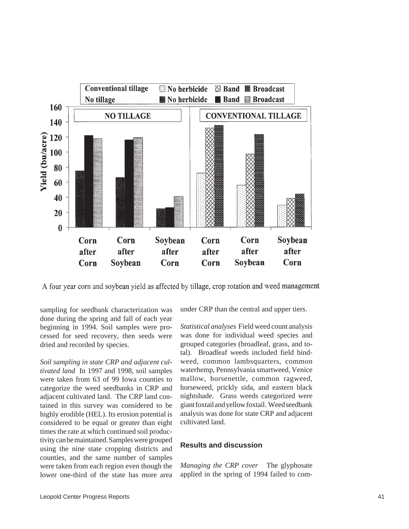

A four year corn and soybean yield as affected by tillage, crop rotation and weed management

sampling for seedbank characterization was done during the spring and fall of each year beginning in 1994. Soil samples were processed for seed recovery, then seeds were dried and recorded by species.

*Soil sampling in state CRP and adjacent cultivated land* In 1997 and 1998, soil samples were taken from 63 of 99 Iowa counties to categorize the weed seedbanks in CRP and adjacent cultivated land. The CRP land contained in this survey was considered to be highly erodible (HEL). Its erosion potential is considered to be equal or greater than eight times the rate at which continued soil productivity can be maintained. Samples were grouped using the nine state cropping districts and counties, and the same number of samples were taken from each region even though the lower one-third of the state has more area under CRP than the central and upper tiers.

*Statistical analyses* Field weed count analysis was done for individual weed species and grouped categories (broadleaf, grass, and total). Broadleaf weeds included field bindweed, common lambsquarters, common waterhemp, Pennsylvania smartweed, Venice mallow, horsenettle, common ragweed, horseweed, prickly sida, and eastern black nightshade. Grass weeds categorized were giant foxtail and yellow foxtail. Weed seedbank analysis was done for state CRP and adjacent cultivated land.

# **Results and discussion**

*Managing the CRP cover* The glyphosate applied in the spring of 1994 failed to com-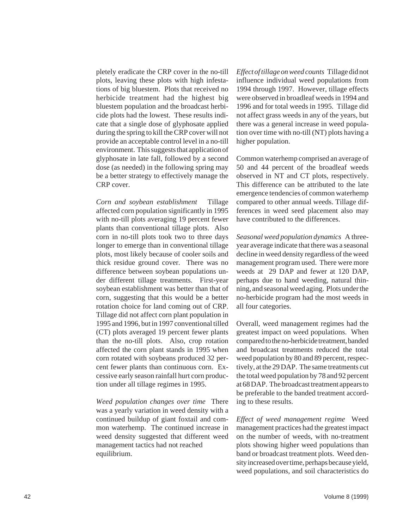pletely eradicate the CRP cover in the no-till plots, leaving these plots with high infestations of big bluestem. Plots that received no herbicide treatment had the highest big bluestem population and the broadcast herbicide plots had the lowest. These results indicate that a single dose of glyphosate applied during the spring to kill the CRP cover will not provide an acceptable control level in a no-till environment. This suggests that application of glyphosate in late fall, followed by a second dose (as needed) in the following spring may be a better strategy to effectively manage the CRP cover.

*Corn and soybean establishment* Tillage affected corn population significantly in 1995 with no-till plots averaging 19 percent fewer plants than conventional tillage plots. Also corn in no-till plots took two to three days longer to emerge than in conventional tillage plots, most likely because of cooler soils and thick residue ground cover. There was no difference between soybean populations under different tillage treatments. First-year soybean establishment was better than that of corn, suggesting that this would be a better rotation choice for land coming out of CRP. Tillage did not affect corn plant population in 1995 and 1996, but in 1997 conventional tilled (CT) plots averaged 19 percent fewer plants than the no-till plots. Also, crop rotation affected the corn plant stands in 1995 when corn rotated with soybeans produced 32 percent fewer plants than continuous corn. Excessive early season rainfall hurt corn production under all tillage regimes in 1995.

*Weed population changes over time* There was a yearly variation in weed density with a continued buildup of giant foxtail and common waterhemp. The continued increase in weed density suggested that different weed management tactics had not reached equilibrium.

*Effect of tillage on weed counts* Tillage did not influence individual weed populations from 1994 through 1997. However, tillage effects were observed in broadleaf weeds in 1994 and 1996 and for total weeds in 1995. Tillage did not affect grass weeds in any of the years, but there was a general increase in weed population over time with no-till (NT) plots having a higher population.

Common waterhemp comprised an average of 50 and 44 percent of the broadleaf weeds observed in NT and CT plots, respectively. This difference can be attributed to the late emergence tendencies of common waterhemp compared to other annual weeds. Tillage differences in weed seed placement also may have contributed to the differences.

*Seasonal weed population dynamics* A threeyear average indicate that there was a seasonal decline in weed density regardless of the weed management program used. There were more weeds at 29 DAP and fewer at 120 DAP, perhaps due to hand weeding, natural thinning, and seasonal weed aging. Plots under the no-herbicide program had the most weeds in all four categories.

Overall, weed management regimes had the greatest impact on weed populations. When compared to the no-herbicide treatment, banded and broadcast treatments reduced the total weed population by 80 and 89 percent, respectively, at the 29 DAP. The same treatments cut the total weed population by 78 and 92 percent at 68 DAP. The broadcast treatment appears to be preferable to the banded treatment according to these results.

*Effect of weed management regime* Weed management practices had the greatest impact on the number of weeds, with no-treatment plots showing higher weed populations than band or broadcast treatment plots. Weed density increased over time, perhaps because yield, weed populations, and soil characteristics do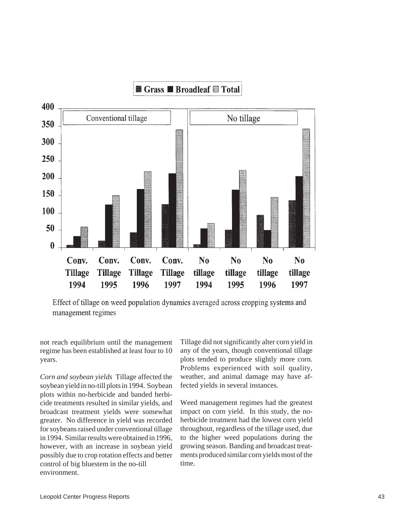

Effect of tillage on weed population dynamics averaged across cropping systems and management regimes

not reach equilibrium until the management regime has been established at least four to 10 years.

*Corn and soybean yields* Tillage affected the soybean yield in no-till plots in 1994. Soybean plots within no-herbicide and banded herbicide treatments resulted in similar yields, and broadcast treatment yields were somewhat greater. No difference in yield was recorded for soybeans raised under conventional tillage in 1994. Similar results were obtained in 1996, however, with an increase in soybean yield possibly due to crop rotation effects and better control of big bluestem in the no-till environment.

Tillage did not significantly alter corn yield in any of the years, though conventional tillage plots tended to produce slightly more corn. Problems experienced with soil quality, weather, and animal damage may have affected yields in several instances.

Weed management regimes had the greatest impact on corn yield. In this study, the noherbicide treatment had the lowest corn yield throughout, regardless of the tillage used, due to the higher weed populations during the growing season. Banding and broadcast treatments produced similar corn yields most of the time.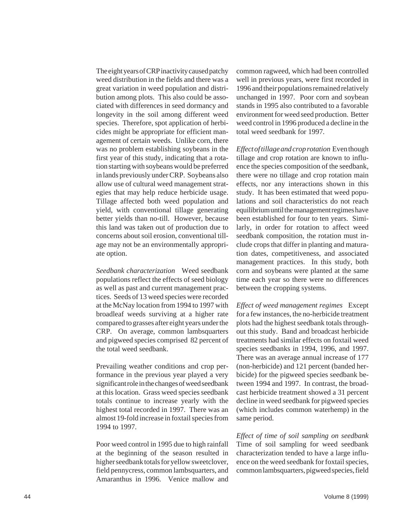The eight years of CRP inactivity caused patchy weed distribution in the fields and there was a great variation in weed population and distribution among plots. This also could be associated with differences in seed dormancy and longevity in the soil among different weed species. Therefore, spot application of herbicides might be appropriate for efficient management of certain weeds. Unlike corn, there was no problem establishing soybeans in the first year of this study, indicating that a rotation starting with soybeans would be preferred in lands previously under CRP. Soybeans also allow use of cultural weed management strategies that may help reduce herbicide usage. Tillage affected both weed population and yield, with conventional tillage generating better yields than no-till. However, because this land was taken out of production due to concerns about soil erosion, conventional tillage may not be an environmentally appropriate option.

*Seedbank characterization* Weed seedbank populations reflect the effects of seed biology as well as past and current management practices. Seeds of 13 weed species were recorded at the McNay location from 1994 to 1997 with broadleaf weeds surviving at a higher rate compared to grasses after eight years under the CRP. On average, common lambsquarters and pigweed species comprised 82 percent of the total weed seedbank.

Prevailing weather conditions and crop performance in the previous year played a very significant role in the changes of weed seedbank at this location. Grass weed species seedbank totals continue to increase yearly with the highest total recorded in 1997. There was an almost 19-fold increase in foxtail species from 1994 to 1997.

Poor weed control in 1995 due to high rainfall at the beginning of the season resulted in higher seedbank totals for yellow sweetclover, field pennycress, common lambsquarters, and Amaranthus in 1996. Venice mallow and common ragweed, which had been controlled well in previous years, were first recorded in 1996 and their populations remained relatively unchanged in 1997. Poor corn and soybean stands in 1995 also contributed to a favorable environment for weed seed production. Better weed control in 1996 produced a decline in the total weed seedbank for 1997.

*Effect of tillage and crop rotation* Even though tillage and crop rotation are known to influence the species composition of the seedbank, there were no tillage and crop rotation main effects, nor any interactions shown in this study. It has been estimated that weed populations and soil characteristics do not reach equilibrium until the management regimes have been established for four to ten years. Similarly, in order for rotation to affect weed seedbank composition, the rotation must include crops that differ in planting and maturation dates, competitiveness, and associated management practices. In this study, both corn and soybeans were planted at the same time each year so there were no differences between the cropping systems.

*Effect of weed management regimes* Except for a few instances, the no-herbicide treatment plots had the highest seedbank totals throughout this study. Band and broadcast herbicide treatments had similar effects on foxtail weed species seedbanks in 1994, 1996, and 1997. There was an average annual increase of 177 (non-herbicide) and 121 percent (banded herbicide) for the pigweed species seedbank between 1994 and 1997. In contrast, the broadcast herbicide treatment showed a 31 percent decline in weed seedbank for pigweed species (which includes common waterhemp) in the same period.

*Effect of time of soil sampling on seedbank*  Time of soil sampling for weed seedbank characterization tended to have a large influence on the weed seedbank for foxtail species, common lambsquarters, pigweed species, field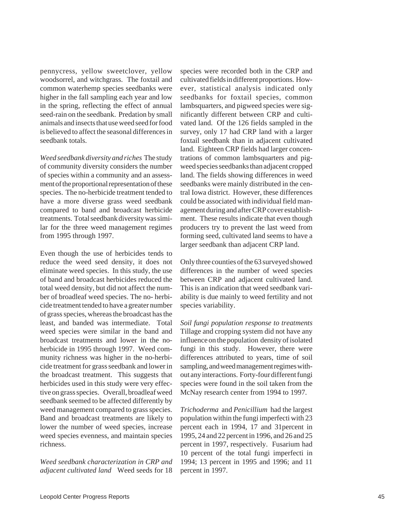pennycress, yellow sweetclover, yellow woodsorrel, and witchgrass. The foxtail and common waterhemp species seedbanks were higher in the fall sampling each year and low in the spring, reflecting the effect of annual seed-rain on the seedbank. Predation by small animals and insects that use weed seed for food is believed to affect the seasonal differences in seedbank totals.

*Weed seedbank diversity and riches* The study of community diversity considers the number of species within a community and an assessment of the proportional representation of these species. The no-herbicide treatment tended to have a more diverse grass weed seedbank compared to band and broadcast herbicide treatments. Total seedbank diversity was similar for the three weed management regimes from 1995 through 1997.

Even though the use of herbicides tends to reduce the weed seed density, it does not eliminate weed species. In this study, the use of band and broadcast herbicides reduced the total weed density, but did not affect the number of broadleaf weed species. The no- herbicide treatment tended to have a greater number of grass species, whereas the broadcast has the least, and banded was intermediate. Total weed species were similar in the band and broadcast treatments and lower in the noherbicide in 1995 through 1997. Weed community richness was higher in the no-herbicide treatment for grass seedbank and lower in the broadcast treatment. This suggests that herbicides used in this study were very effective on grass species. Overall, broadleaf weed seedbank seemed to be affected differently by weed management compared to grass species. Band and broadcast treatments are likely to lower the number of weed species, increase weed species evenness, and maintain species richness.

*Weed seedbank characterization in CRP and adjacent cultivated land* Weed seeds for 18 species were recorded both in the CRP and cultivated fields in different proportions. However, statistical analysis indicated only seedbanks for foxtail species, common lambsquarters, and pigweed species were significantly different between CRP and cultivated land. Of the 126 fields sampled in the survey, only 17 had CRP land with a larger foxtail seedbank than in adjacent cultivated land. Eighteen CRP fields had larger concentrations of common lambsquarters and pigweed species seedbanks than adjacent cropped land. The fields showing differences in weed seedbanks were mainly distributed in the central Iowa district. However, these differences could be associated with individual field management during and after CRP cover establishment. These results indicate that even though producers try to prevent the last weed from forming seed, cultivated land seems to have a larger seedbank than adjacent CRP land.

Only three counties of the 63 surveyed showed differences in the number of weed species between CRP and adjacent cultivated land. This is an indication that weed seedbank variability is due mainly to weed fertility and not species variability.

*Soil fungi population response to treatments*  Tillage and cropping system did not have any influence on the population density of isolated fungi in this study. However, there were differences attributed to years, time of soil sampling, and weed management regimes without any interactions. Forty-four different fungi species were found in the soil taken from the McNay research center from 1994 to 1997.

*Trichoderma* and *Penicillium* had the largest population within the fungi imperfecti with 23 percent each in 1994, 17 and 31percent in 1995, 24 and 22 percent in 1996, and 26 and 25 percent in 1997, respectively. Fusarium had 10 percent of the total fungi imperfecti in 1994; 13 percent in 1995 and 1996; and 11 percent in 1997.